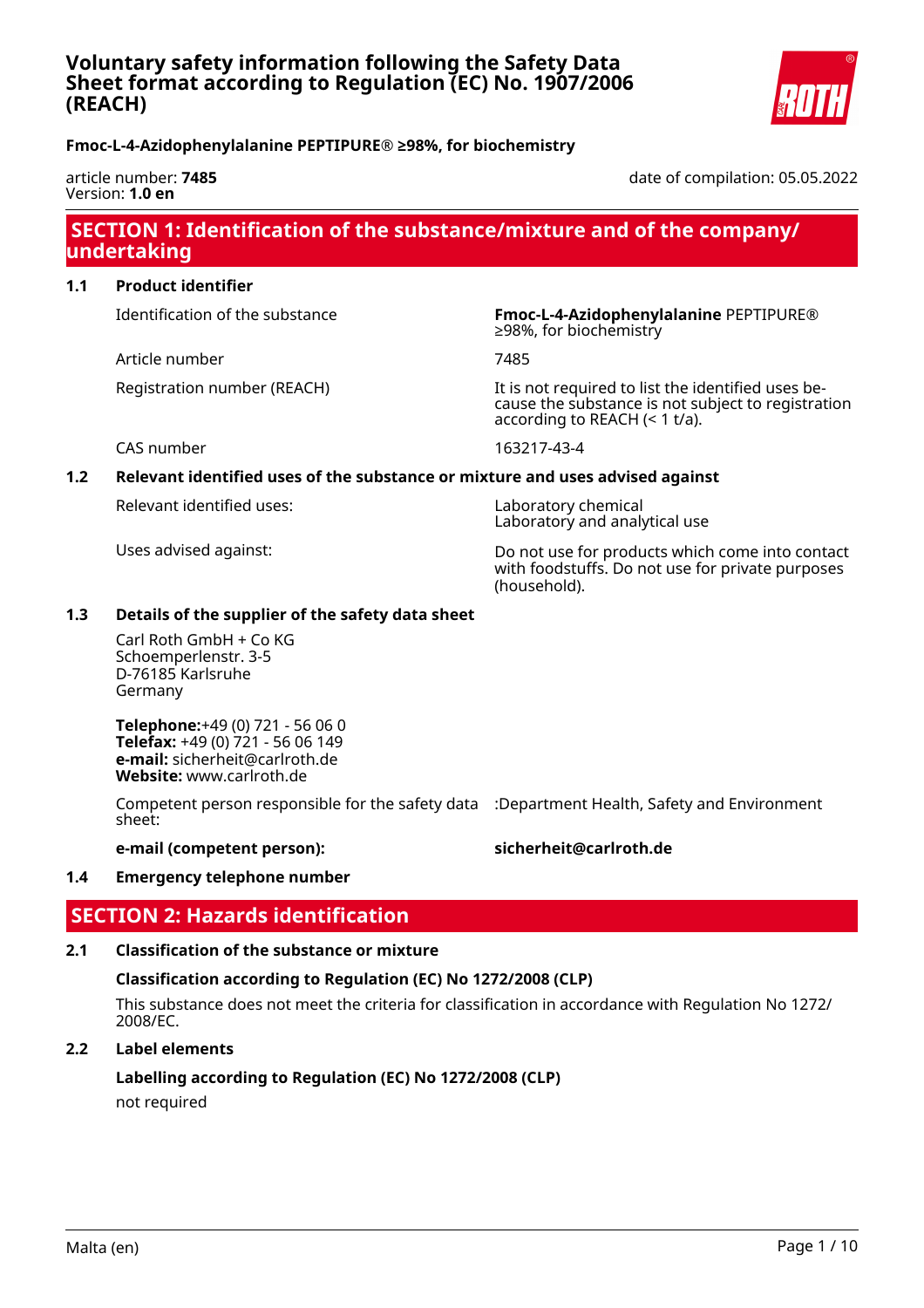## **Voluntary safety information following the Safety Data Sheet format according to Regulation (EC) No. 1907/2006 (REACH)**



## **Fmoc-L-4-Azidophenylalanine PEPTIPURE® ≥98%, for biochemistry**

#### article number: **7485** Version: **1.0 en**

date of compilation: 05.05.2022

## **SECTION 1: Identification of the substance/mixture and of the company/ undertaking**

#### **1.1 Product identifier**

Article number 7485

Identification of the substance **Fmoc-L-4-Azidophenylalanine** PEPTIPURE® ≥98%, for biochemistry

Registration number (REACH) It is not required to list the identified uses because the substance is not subject to registration according to REACH (< 1 t/a).

CAS number 163217-43-4

## **1.2 Relevant identified uses of the substance or mixture and uses advised against**

Relevant identified uses: Laboratory chemical

Laboratory and analytical use

Uses advised against: Do not use for products which come into contact with foodstuffs. Do not use for private purposes (household).

#### **1.3 Details of the supplier of the safety data sheet**

Carl Roth GmbH + Co KG Schoemperlenstr. 3-5 D-76185 Karlsruhe Germany

**Telephone:**+49 (0) 721 - 56 06 0 **Telefax:** +49 (0) 721 - 56 06 149 **e-mail:** sicherheit@carlroth.de **Website:** www.carlroth.de

Competent person responsible for the safety data :Department Health, Safety and Environment sheet:

#### **e-mail (competent person): sicherheit@carlroth.de**

#### **1.4 Emergency telephone number**

## **SECTION 2: Hazards identification**

#### **2.1 Classification of the substance or mixture**

#### **Classification according to Regulation (EC) No 1272/2008 (CLP)**

This substance does not meet the criteria for classification in accordance with Regulation No 1272/ 2008/EC.

## **2.2 Label elements**

## **Labelling according to Regulation (EC) No 1272/2008 (CLP)**

not required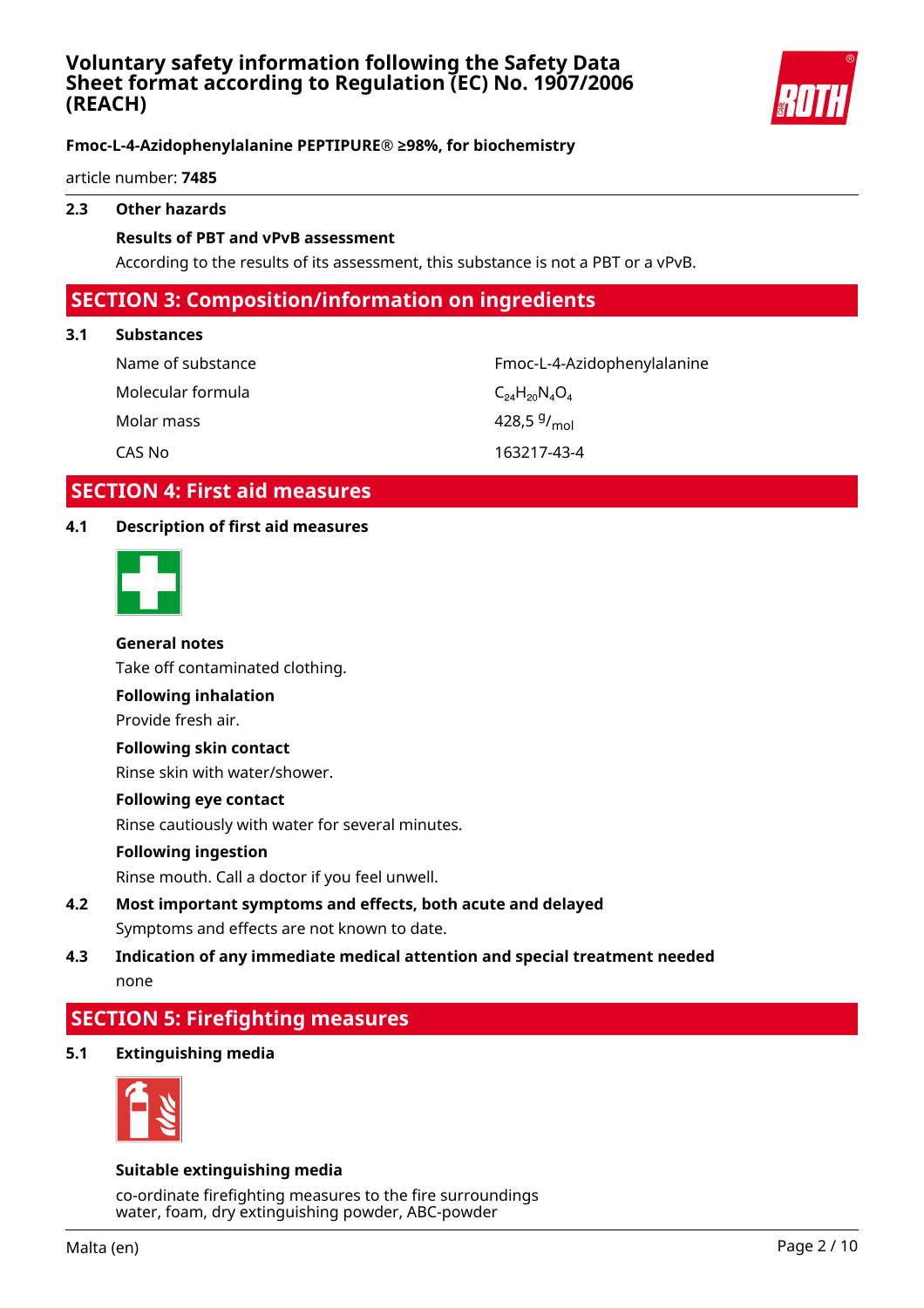

article number: **7485**

### **2.3 Other hazards**

### **Results of PBT and vPvB assessment**

According to the results of its assessment, this substance is not a PBT or a vPvB.

## **SECTION 3: Composition/information on ingredients**

#### **3.1 Substances**

Molecular formula  $C_{24}H_{20}N_4O_4$ Molar mass

Name of substance The Community Control of Substance Fmoc-L-4-Azidophenylalanine 428,5 $9/_{mol}$ CAS No 163217-43-4

## **SECTION 4: First aid measures**

## **4.1 Description of first aid measures**



#### **General notes**

Take off contaminated clothing.

#### **Following inhalation**

Provide fresh air.

#### **Following skin contact**

Rinse skin with water/shower.

#### **Following eye contact**

Rinse cautiously with water for several minutes.

#### **Following ingestion**

Rinse mouth. Call a doctor if you feel unwell.

## **4.2 Most important symptoms and effects, both acute and delayed** Symptoms and effects are not known to date.

## **4.3 Indication of any immediate medical attention and special treatment needed** none

## **SECTION 5: Firefighting measures**

## **5.1 Extinguishing media**



#### **Suitable extinguishing media**

co-ordinate firefighting measures to the fire surroundings water, foam, dry extinguishing powder, ABC-powder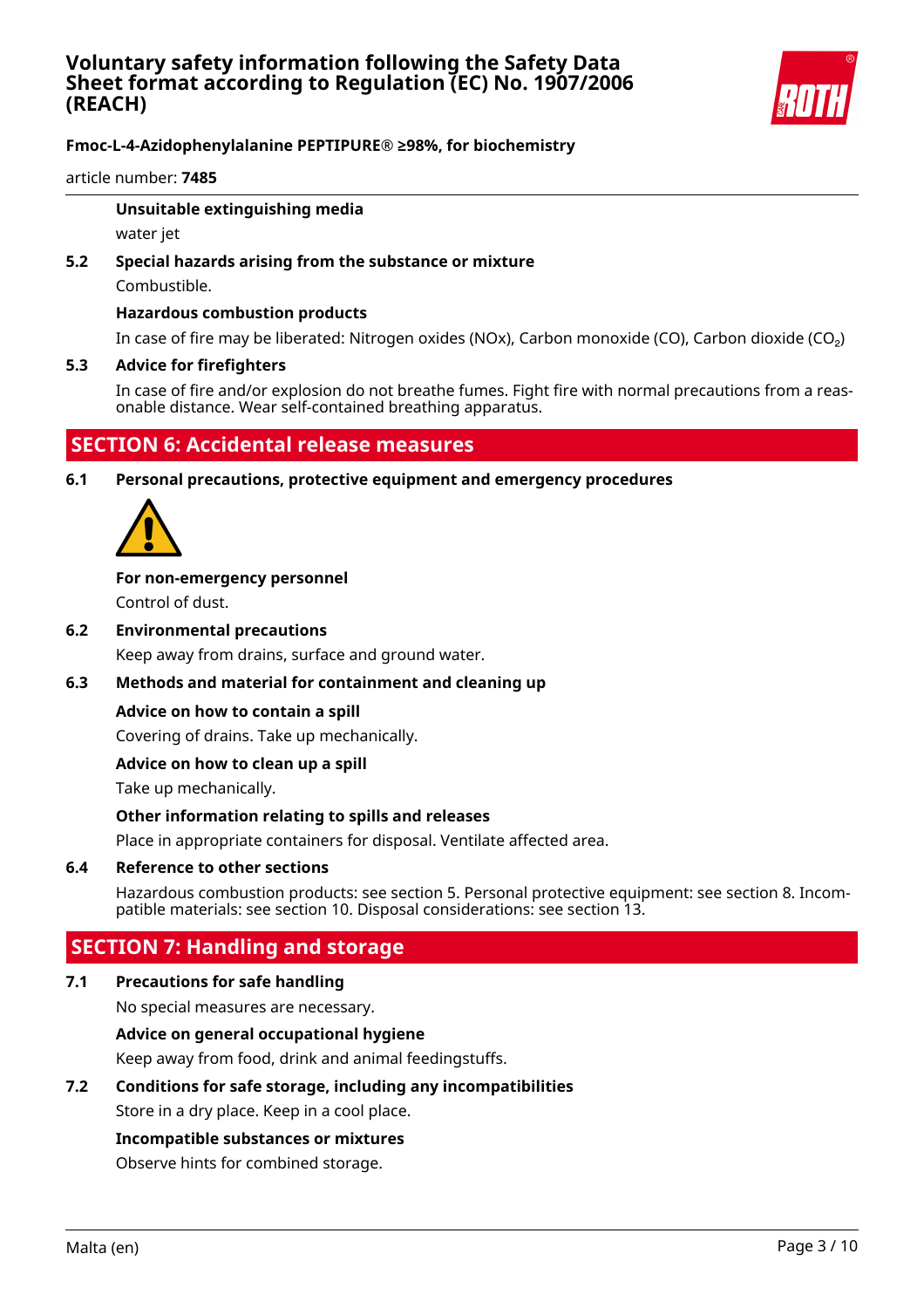

article number: **7485**

#### **Unsuitable extinguishing media**

water jet

# **5.2 Special hazards arising from the substance or mixture**

Combustible.

### **Hazardous combustion products**

In case of fire may be liberated: Nitrogen oxides (NOx), Carbon monoxide (CO), Carbon dioxide (CO₂)

### **5.3 Advice for firefighters**

In case of fire and/or explosion do not breathe fumes. Fight fire with normal precautions from a reasonable distance. Wear self-contained breathing apparatus.

## **SECTION 6: Accidental release measures**

**6.1 Personal precautions, protective equipment and emergency procedures**



## **For non-emergency personnel**

Control of dust.

**6.2 Environmental precautions**

Keep away from drains, surface and ground water.

## **6.3 Methods and material for containment and cleaning up**

#### **Advice on how to contain a spill**

Covering of drains. Take up mechanically.

#### **Advice on how to clean up a spill**

Take up mechanically.

#### **Other information relating to spills and releases**

Place in appropriate containers for disposal. Ventilate affected area.

#### **6.4 Reference to other sections**

Hazardous combustion products: see section 5. Personal protective equipment: see section 8. Incompatible materials: see section 10. Disposal considerations: see section 13.

## **SECTION 7: Handling and storage**

## **7.1 Precautions for safe handling**

No special measures are necessary.

## **Advice on general occupational hygiene**

Keep away from food, drink and animal feedingstuffs.

## **7.2 Conditions for safe storage, including any incompatibilities**

Store in a dry place. Keep in a cool place.

#### **Incompatible substances or mixtures**

Observe hints for combined storage.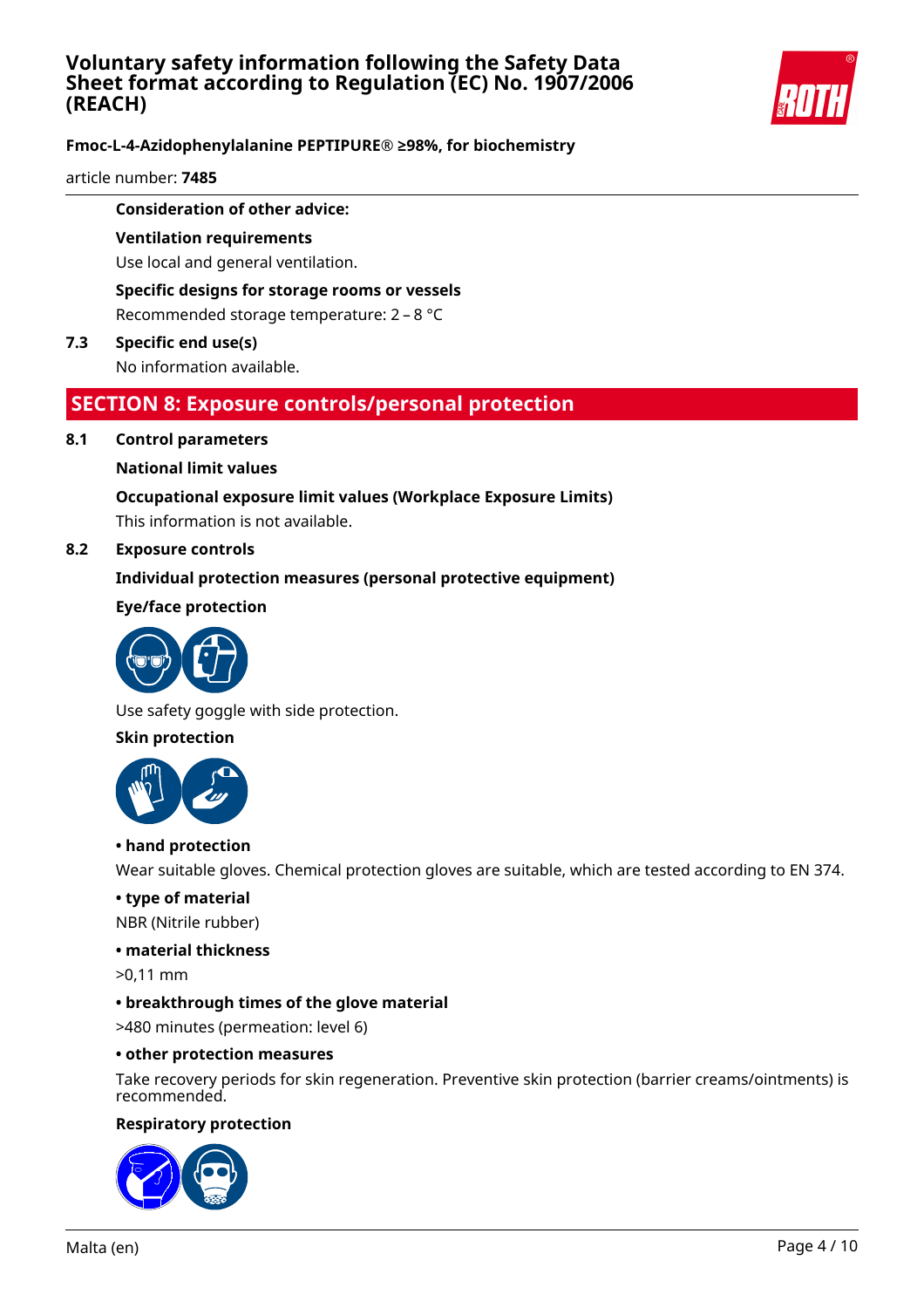

article number: **7485**

### **Consideration of other advice:**

## **Ventilation requirements**

Use local and general ventilation.

## **Specific designs for storage rooms or vessels**

Recommended storage temperature: 2 – 8 °C

#### **7.3 Specific end use(s)** No information available.

## **SECTION 8: Exposure controls/personal protection**

#### **8.1 Control parameters**

### **National limit values**

# **Occupational exposure limit values (Workplace Exposure Limits)**

This information is not available.

### **8.2 Exposure controls**

## **Individual protection measures (personal protective equipment)**

### **Eye/face protection**



Use safety goggle with side protection.

### **Skin protection**



#### **• hand protection**

Wear suitable gloves. Chemical protection gloves are suitable, which are tested according to EN 374.

#### **• type of material**

NBR (Nitrile rubber)

#### **• material thickness**

>0,11 mm

## **• breakthrough times of the glove material**

>480 minutes (permeation: level 6)

#### **• other protection measures**

Take recovery periods for skin regeneration. Preventive skin protection (barrier creams/ointments) is recommended.

#### **Respiratory protection**

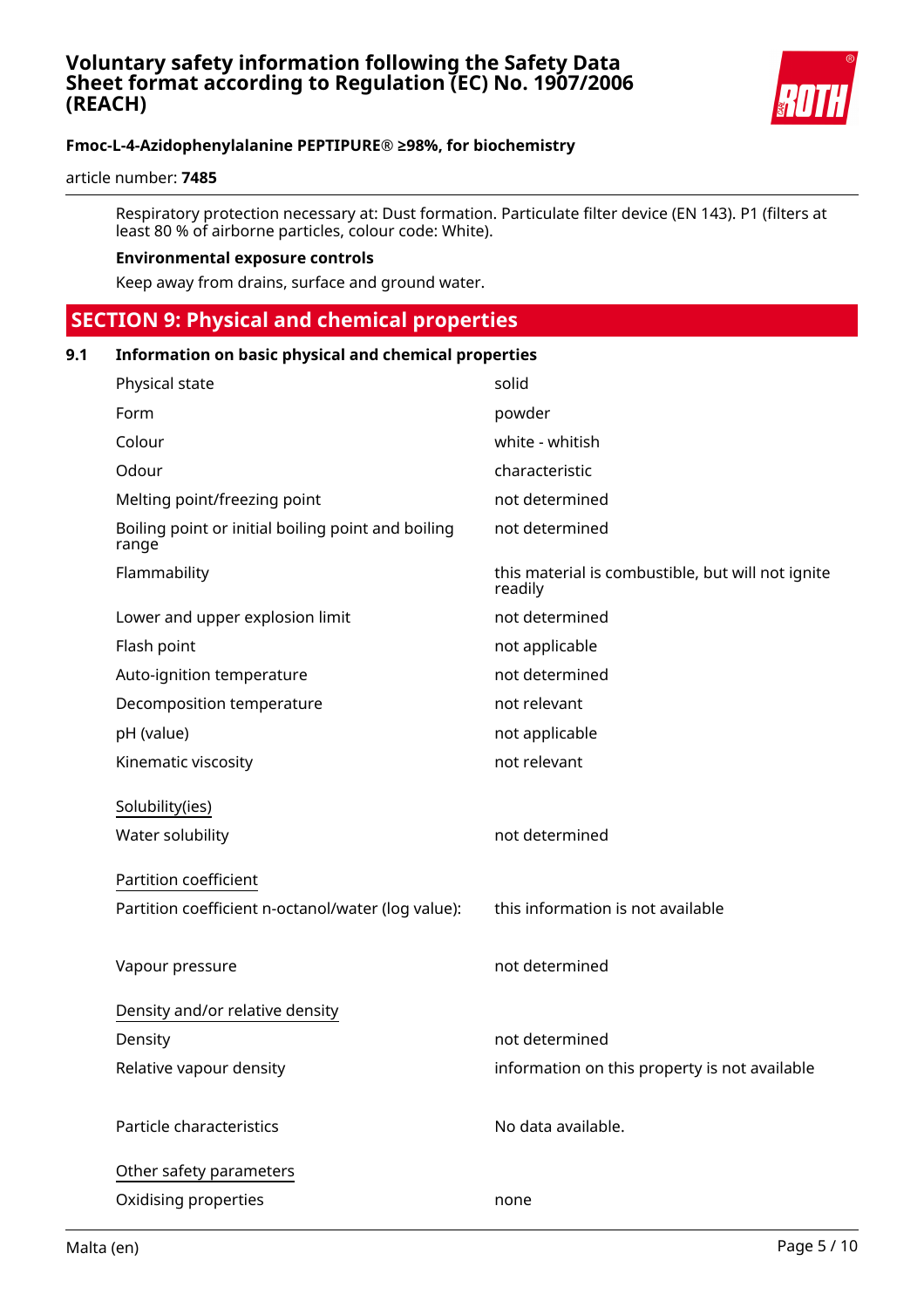

article number: **7485**

Respiratory protection necessary at: Dust formation. Particulate filter device (EN 143). P1 (filters at least 80 % of airborne particles, colour code: White).

#### **Environmental exposure controls**

Keep away from drains, surface and ground water.

## **SECTION 9: Physical and chemical properties**

## **9.1 Information on basic physical and chemical properties**

| Physical state                                              | solid                                                        |
|-------------------------------------------------------------|--------------------------------------------------------------|
| Form                                                        | powder                                                       |
| Colour                                                      | white - whitish                                              |
| Odour                                                       | characteristic                                               |
| Melting point/freezing point                                | not determined                                               |
| Boiling point or initial boiling point and boiling<br>range | not determined                                               |
| Flammability                                                | this material is combustible, but will not ignite<br>readily |
| Lower and upper explosion limit                             | not determined                                               |
| Flash point                                                 | not applicable                                               |
| Auto-ignition temperature                                   | not determined                                               |
| Decomposition temperature                                   | not relevant                                                 |
| pH (value)                                                  | not applicable                                               |
| Kinematic viscosity                                         | not relevant                                                 |
| Solubility(ies)                                             |                                                              |
| Water solubility                                            | not determined                                               |
| Partition coefficient                                       |                                                              |
| Partition coefficient n-octanol/water (log value):          | this information is not available                            |
|                                                             |                                                              |
| Vapour pressure                                             | not determined                                               |
|                                                             |                                                              |
| Density and/or relative density                             |                                                              |
| Density                                                     | not determined                                               |
| Relative vapour density                                     | information on this property is not available                |
| Particle characteristics                                    | No data available.                                           |
|                                                             |                                                              |
| Other safety parameters                                     |                                                              |
| Oxidising properties                                        | none                                                         |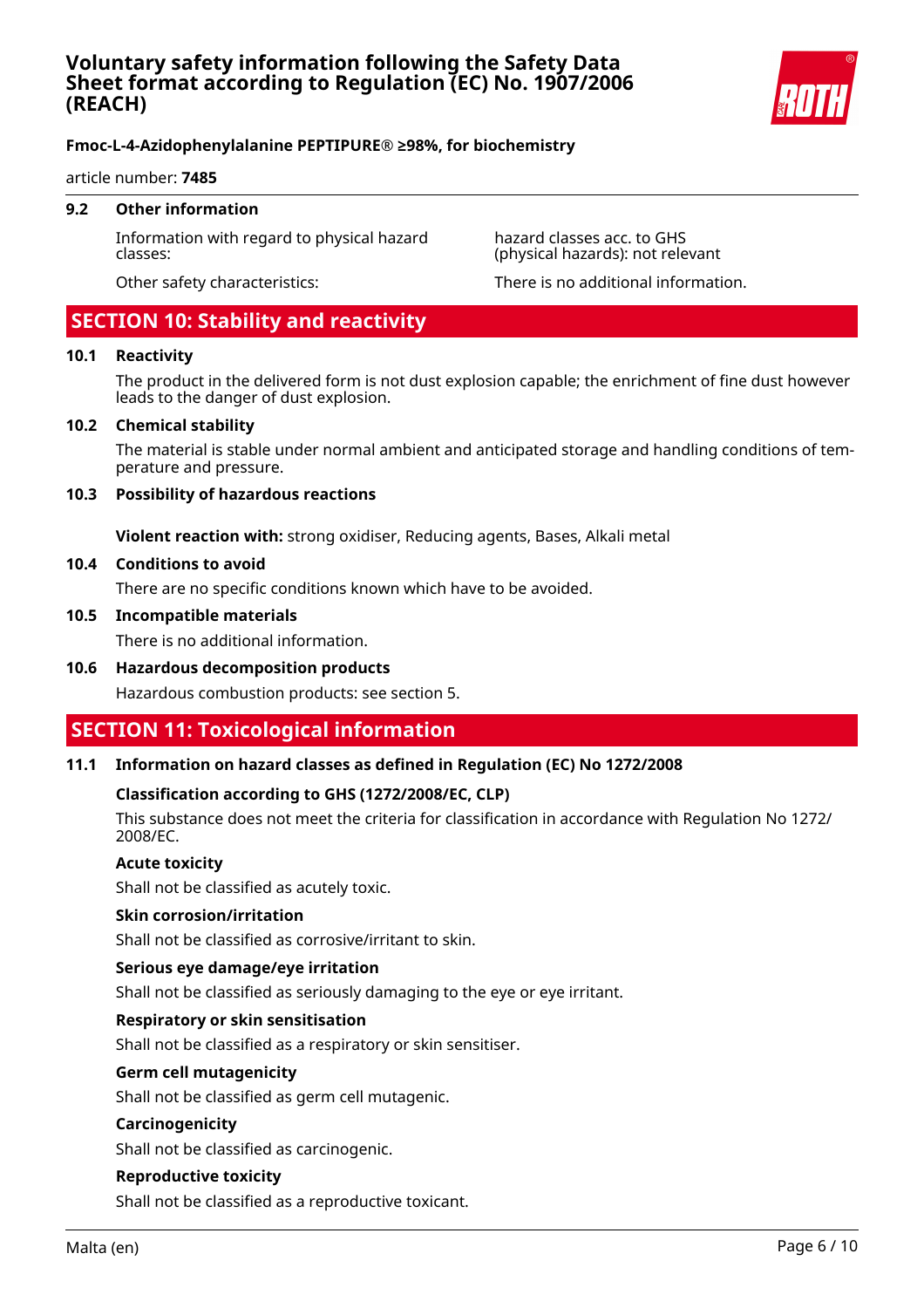

#### article number: **7485**

#### **9.2 Other information**

Information with regard to physical hazard classes:

hazard classes acc. to GHS (physical hazards): not relevant

#### Other safety characteristics: There is no additional information.

## **SECTION 10: Stability and reactivity**

#### **10.1 Reactivity**

The product in the delivered form is not dust explosion capable; the enrichment of fine dust however leads to the danger of dust explosion.

#### **10.2 Chemical stability**

The material is stable under normal ambient and anticipated storage and handling conditions of temperature and pressure.

#### **10.3 Possibility of hazardous reactions**

**Violent reaction with:** strong oxidiser, Reducing agents, Bases, Alkali metal

#### **10.4 Conditions to avoid**

There are no specific conditions known which have to be avoided.

#### **10.5 Incompatible materials**

There is no additional information.

**10.6 Hazardous decomposition products**

Hazardous combustion products: see section 5.

## **SECTION 11: Toxicological information**

#### **11.1 Information on hazard classes as defined in Regulation (EC) No 1272/2008**

#### **Classification according to GHS (1272/2008/EC, CLP)**

This substance does not meet the criteria for classification in accordance with Regulation No 1272/ 2008/EC.

#### **Acute toxicity**

Shall not be classified as acutely toxic.

#### **Skin corrosion/irritation**

Shall not be classified as corrosive/irritant to skin.

#### **Serious eye damage/eye irritation**

Shall not be classified as seriously damaging to the eye or eye irritant.

#### **Respiratory or skin sensitisation**

Shall not be classified as a respiratory or skin sensitiser.

#### **Germ cell mutagenicity**

Shall not be classified as germ cell mutagenic.

#### **Carcinogenicity**

Shall not be classified as carcinogenic.

#### **Reproductive toxicity**

Shall not be classified as a reproductive toxicant.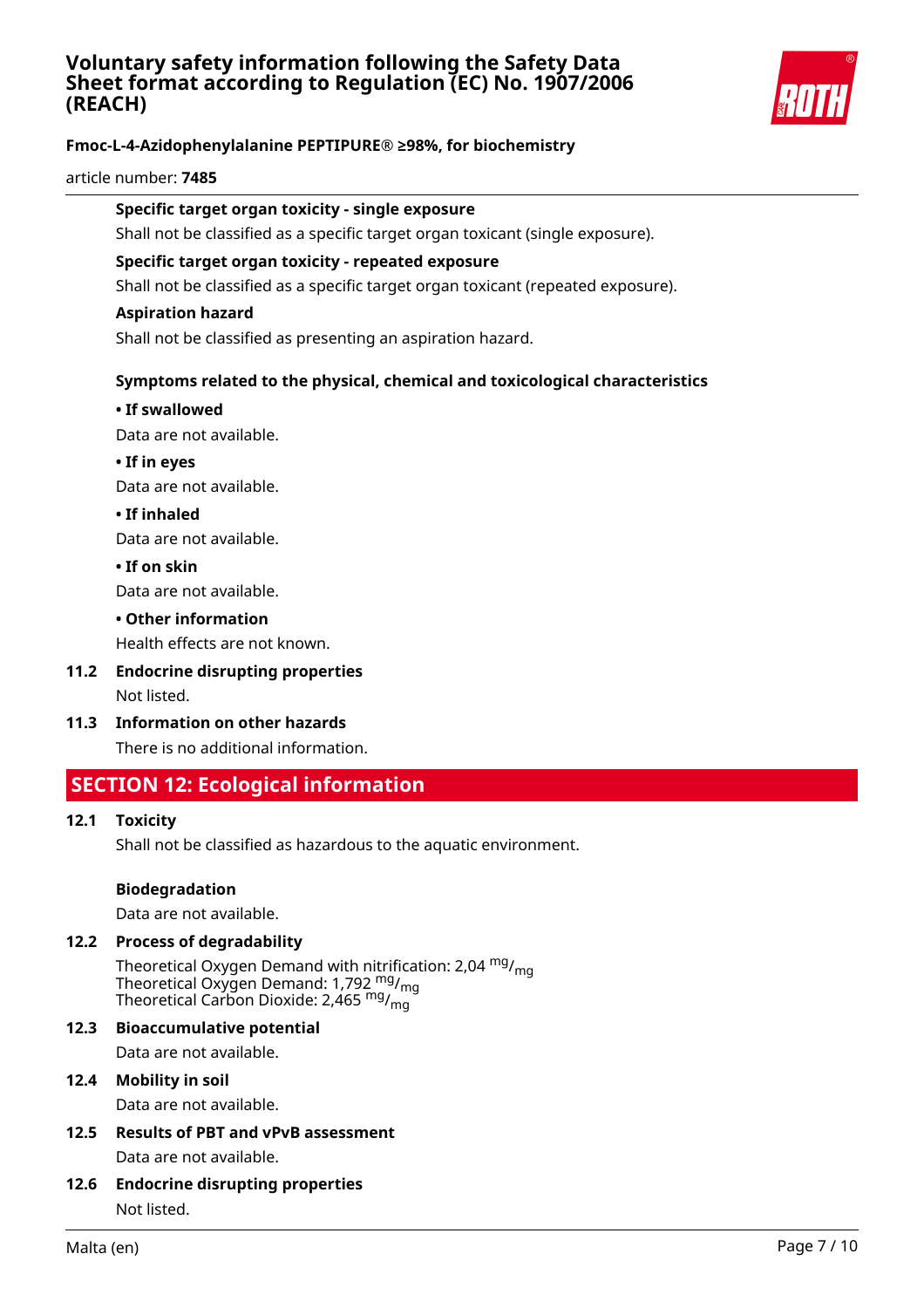## **Voluntary safety information following the Safety Data Sheet format according to Regulation (EC) No. 1907/2006 (REACH)**



## **Fmoc-L-4-Azidophenylalanine PEPTIPURE® ≥98%, for biochemistry**

#### article number: **7485**

#### **Specific target organ toxicity - single exposure**

Shall not be classified as a specific target organ toxicant (single exposure).

#### **Specific target organ toxicity - repeated exposure**

Shall not be classified as a specific target organ toxicant (repeated exposure).

#### **Aspiration hazard**

Shall not be classified as presenting an aspiration hazard.

### **Symptoms related to the physical, chemical and toxicological characteristics**

#### **• If swallowed**

Data are not available.

**• If in eyes** Data are not available.

**• If inhaled**

Data are not available.

**• If on skin**

Data are not available.

**• Other information**

Health effects are not known.

- **11.2 Endocrine disrupting properties** Not listed.
- **11.3 Information on other hazards**

There is no additional information.

## **SECTION 12: Ecological information**

#### **12.1 Toxicity**

Shall not be classified as hazardous to the aquatic environment.

#### **Biodegradation**

Data are not available.

#### **12.2 Process of degradability**

Theoretical Oxygen Demand with nitrification: 2,04 <sup>mg</sup>/<sub>mg</sub> Theoretical Oxygen Demand: 1,792  $_{\rm mg}^{\rm mg}/_{\rm mg}$ Theoretical Carbon Dioxide: 2,465  $^{\mathsf{mg}}\prime_{\mathsf{mg}}$ 

### **12.3 Bioaccumulative potential**

Data are not available.

#### **12.4 Mobility in soil**

Data are not available.

**12.5 Results of PBT and vPvB assessment**

Data are not available.

#### **12.6 Endocrine disrupting properties**

Not listed.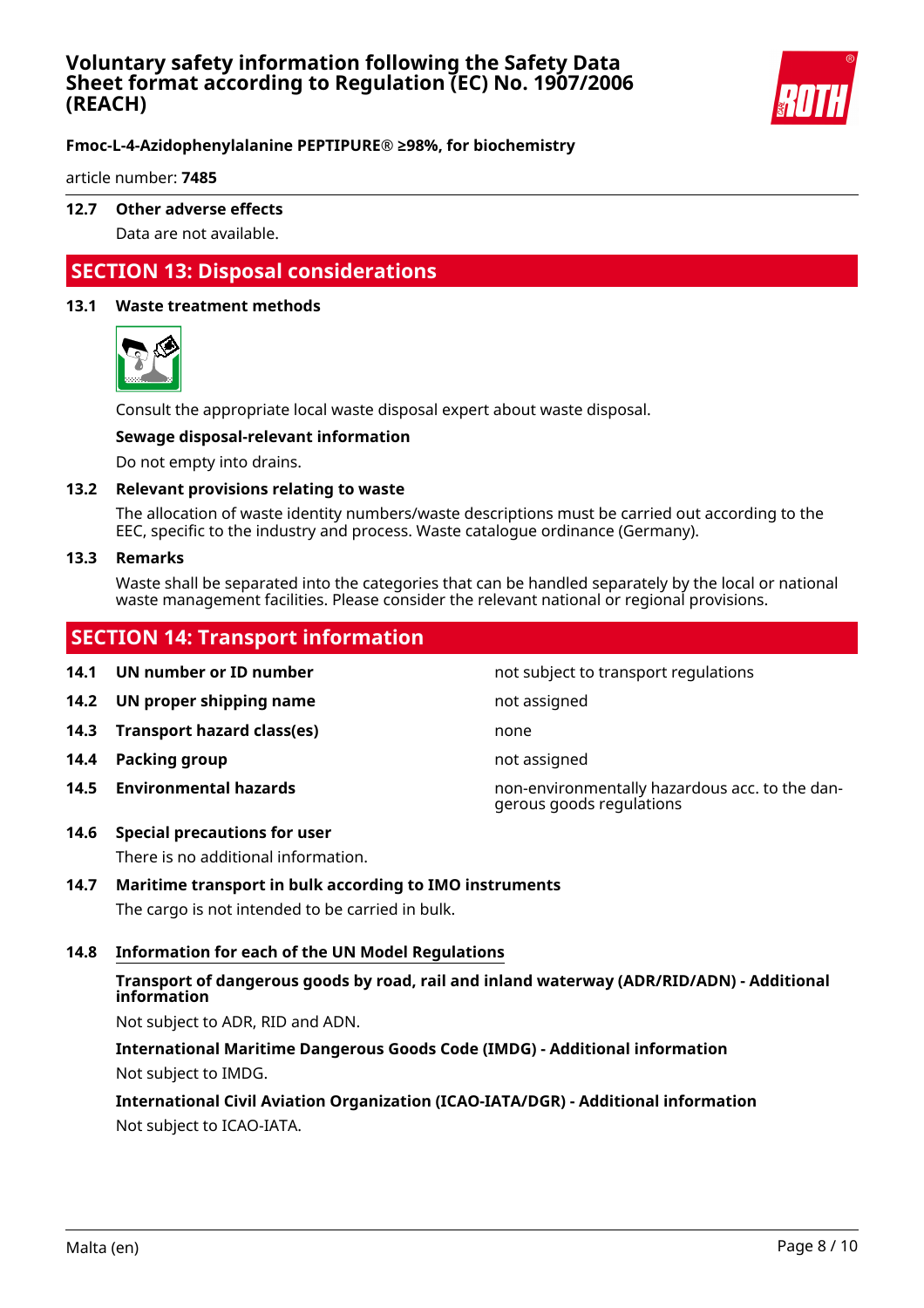## **Voluntary safety information following the Safety Data Sheet format according to Regulation (EC) No. 1907/2006 (REACH)**



## **Fmoc-L-4-Azidophenylalanine PEPTIPURE® ≥98%, for biochemistry**

article number: **7485**

### **12.7 Other adverse effects**

Data are not available.

## **SECTION 13: Disposal considerations**

#### **13.1 Waste treatment methods**



Consult the appropriate local waste disposal expert about waste disposal.

#### **Sewage disposal-relevant information**

Do not empty into drains.

#### **13.2 Relevant provisions relating to waste**

The allocation of waste identity numbers/waste descriptions must be carried out according to the EEC, specific to the industry and process. Waste catalogue ordinance (Germany).

#### **13.3 Remarks**

Waste shall be separated into the categories that can be handled separately by the local or national waste management facilities. Please consider the relevant national or regional provisions.

## **SECTION 14: Transport information**

**14.1 UN number or ID number not subject to transport regulations 14.2 UN proper shipping name** not assigned **14.3 Transport hazard class(es)** none **14.4 Packing group not assigned not assigned 14.5 Environmental hazards** non-environmentally hazardous acc. to the dangerous goods regulations

#### **14.6 Special precautions for user**

There is no additional information.

#### **14.7 Maritime transport in bulk according to IMO instruments**

The cargo is not intended to be carried in bulk.

### **14.8 Information for each of the UN Model Regulations**

### **Transport of dangerous goods by road, rail and inland waterway (ADR/RID/ADN) - Additional information**

Not subject to ADR, RID and ADN.

**International Maritime Dangerous Goods Code (IMDG) - Additional information** Not subject to IMDG.

## **International Civil Aviation Organization (ICAO-IATA/DGR) - Additional information**

Not subject to ICAO-IATA.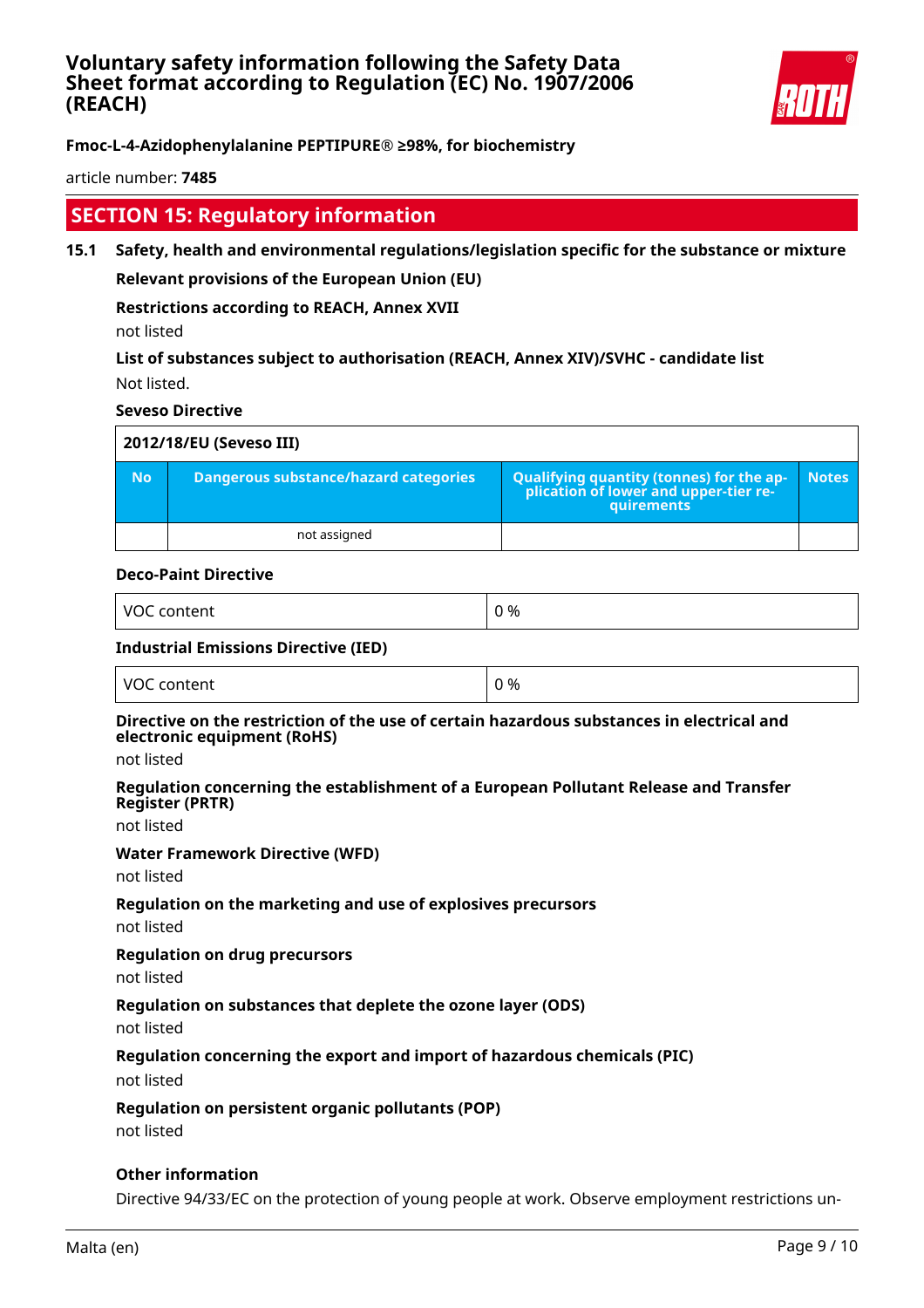

article number: **7485**

## **SECTION 15: Regulatory information**

**15.1 Safety, health and environmental regulations/legislation specific for the substance or mixture Relevant provisions of the European Union (EU)**

**Restrictions according to REACH, Annex XVII**

not listed

**List of substances subject to authorisation (REACH, Annex XIV)/SVHC - candidate list** Not listed.

#### **Seveso Directive**

| 2012/18/EU (Seveso III) |                                       |                                                                                            |              |  |
|-------------------------|---------------------------------------|--------------------------------------------------------------------------------------------|--------------|--|
| <b>No</b>               | Dangerous substance/hazard categories | Qualifying quantity (tonnes) for the application of lower and upper-tier re-<br>quirements | <b>Notes</b> |  |
|                         | not assigned                          |                                                                                            |              |  |

#### **Deco-Paint Directive**

| $\sqrt{2}$<br>.<br>v<br>и<br>ເenu<br>$     -$ | ገ %<br>__<br>$\sim$ |
|-----------------------------------------------|---------------------|
|                                               |                     |

#### **Industrial Emissions Directive (IED)**

| <b>VOC</b><br>content | 0 % |
|-----------------------|-----|
|-----------------------|-----|

#### **Directive on the restriction of the use of certain hazardous substances in electrical and electronic equipment (RoHS)**

not listed

#### **Regulation concerning the establishment of a European Pollutant Release and Transfer Register (PRTR)**

not listed

#### **Water Framework Directive (WFD)**

not listed

#### **Regulation on the marketing and use of explosives precursors**

not listed

#### **Regulation on drug precursors**

not listed

#### **Regulation on substances that deplete the ozone layer (ODS)**

not listed

#### **Regulation concerning the export and import of hazardous chemicals (PIC)**

not listed

#### **Regulation on persistent organic pollutants (POP)**

not listed

#### **Other information**

Directive 94/33/EC on the protection of young people at work. Observe employment restrictions un-